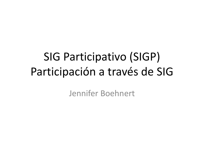# SIG Participativo (SIGP) Participación a través de SIG

Jennifer Boehnert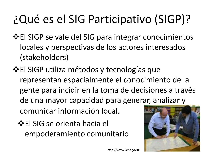# ¿Qué es el SIG Participativo (SIGP)?

- **El SIGP se vale del SIG para integrar conocimientos** locales y perspectivas de los actores interesados (stakeholders)
- El SIGP utiliza métodos y tecnologías que representan espacialmente el conocimiento de la gente para incidir en la toma de decisiones a través de una mayor capacidad para generar, analizar y comunicar información local.
	- **El SIG se orienta hacia el** empoderamiento comunitario



http://www.kent.gov.uk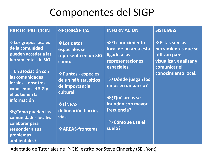### Componentes del SIGP

#### **PARTICIPATICIÓN**

**Los grupos locales de la comunidad pueden acceder a las herramientas de SIG**

**En asociación con las comunidades locales – nosotros conocemos el SIG y ellos tienen la información**

**¿Cómo pueden las comunidades locales colaborar para responder a sus problemas ambientales?**

#### **GEOGRÁFICA**

**Los datos espaciales se representa en un SIG como:**

**Puntos - especies de un hábitat, sitios de importancia cultural**

**LÍNEAS delineación barrio, vías**

**AREAS-fronteras**

#### **INFORMACIÓN**

**El conocimiento local de un área está ligado a las representaciones espaciales.**

**¿Dónde juegan los niños en un barrio?** 

**¿Qué áreas se inundan con mayor frecuencia?** 

**¿Cómo se usa el suelo?**

#### **SISTEMAS**

**Estas son las herramientas que se utilizan para visualizar, analizar y comunicar el conocimiento local.**

Adaptado de Tutoriales de P-GIS, estrito por Steve Cinderby (SEI, York)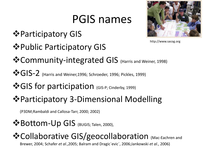## PGIS names

- $\bullet$  **Participatory GIS**
- $\triangle$  **Public Participatory GIS**



http://www.sacog.org

- Community-integrated GIS (Harris and Weiner, 1998)
- $\clubsuit\$ GIS-2 (Harris and Weiner, 1996; Schroeder, 1996; Pickles, 1999)
- **\***GIS for participation (GIS-P; Cinderby, 1999)
- Participatory 3-Dimensional Modelling

(P3DM;Rambaldi and Callosa-Tarr, 2000; 2002)

**<sup>❖</sup>Bottom-Up GIS** (BUGIS; Talen, 2000),

#### **☆Collaborative GIS/geocollaboration** (Mac-Eachren and

Brewer, 2004; Schafer *et al*.,2005; Balram and Dragic´evic´, 2006;Jankowski *et al.*, 2006)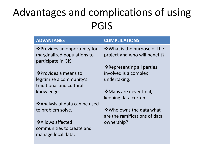## Advantages and complications of using PGIS

| <b>ADVANTAGES</b>              | <b>COMPLICATIONS</b>          |
|--------------------------------|-------------------------------|
| ❖ Provides an opportunity for  | ❖ What is the purpose of the  |
| marginalized populations to    | project and who will benefit? |
| participate in GIS.            |                               |
|                                | ❖ Representing all parties    |
| ❖ Provides a means to          | involved is a complex         |
| legitimize a community's       | undertaking.                  |
| traditional and cultural       |                               |
| knowledge.                     | ❖ Maps are never final,       |
|                                | keeping data current.         |
| ❖ Analysis of data can be used |                               |
| to problem solve.              | ❖ Who owns the data what      |
|                                | are the ramifications of data |
| ❖ Allows affected              | ownership?                    |
| communities to create and      |                               |
| manage local data.             |                               |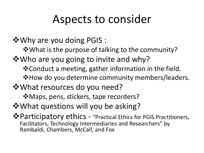## Aspects to consider

Why are you doing PGIS :

What is the purpose of talking to the community?

 $\dots$  **Who are you going to invite and why?** 

Conduct a meeting, gather information in the field.

**\*How do you determine community members/leaders.** 

What resources do you need?

 $\dots$  Maps, pens, stickers, tape recorders?

 $\dots$  **What questions will you be asking?** 

Participatory ethics - "Practical Ethics for PGIS Practitioners, Facilitators, Technology Intermediaries and Researchers" by Rambaldi, Chambers, McCall, and Fox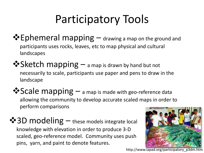# Participatory Tools

- $\clubsuit$  Ephemeral mapping  $-$  drawing a map on the ground and participants uses rocks, leaves, etc to map physical and cultural landscapes
- ◆ Sketch mapping a map is drawn by hand but not necessarily to scale, participants use paper and pens to draw in the landscape
- **<sup>❖</sup>Scale mapping** a map is made with geo-reference data allowing the community to develop accurate scaled maps in order to perform comparisons
- $\clubsuit$  3D modeling these models integrate local knowledge with elevation in order to produce 3-D scaled, geo-reference model. Community uses push pins, yarn, and paint to denote features.



http://www.iapad.org/participatory\_p3dm.htm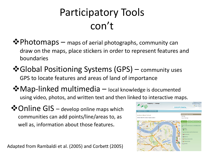## Participatory Tools con't

- $\clubsuit$  Photomaps maps of aerial photographs, community can draw on the maps, place stickers in order to represent features and boundaries
- $\cdot$  Global Positioning Systems (GPS) community uses GPS to locate features and areas of land of importance
- $\lozenge$  **Map-linked multimedia** local knowledge is documented using video, photos, and written text and then linked to interactive maps.
- $\dots$  Online GIS develop online maps which communities can add points/line/areas to, as well as, information about those features.

Adapted from Rambaldi et al. (2005) and Corbett (2005)

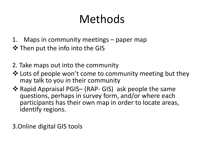# Methods

- 1. Maps in community meetings paper map
- $\triangle$  Then put the info into the GIS
- 2. Take maps out into the community
- ❖ Lots of people won't come to community meeting but they may talk to you in their community
- ❖ Rapid Appraisal PGIS– (RAP- GIS) ask people the same questions, perhaps in survey form, and/or where each participants has their own map in order to locate areas, identify regions.

3.Online digital GIS tools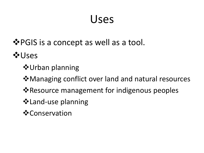## Uses

#### **Example 18 Ferry PGIS** is a concept as well as a tool.

**☆Uses** 

- $\diamond$  **Urban planning**
- $\dots$  Managing conflict over land and natural resources
- **Example 3 Resource management for indigenous peoples**
- Land-use planning
- **☆Conservation**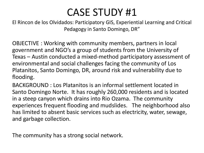#### CASE STUDY #1

El Rincon de los Olvidados: Participatory GIS, Experiential Learning and Critical Pedagogy in Santo Domingo, DR"

OBJECTIVE : Working with community members, partners in local government and NGO's a group of students from the University of Texas – Austin conducted a mixed-method participatory assessment of environmental and social challenges facing the community of Los Platanitos, Santo Domingo, DR, around risk and vulnerability due to flooding.

BACKGROUND : Los Platanitos is an informal settlement located in Santo Domingo Norte. It has roughly 260,000 residents and is located in a steep canyon which drains into Rio Ozama. The community experiences frequent flooding and mudslides. The neighborhood also has limited to absent basic services such as electricity, water, sewage, and garbage collection.

The community has a strong social network.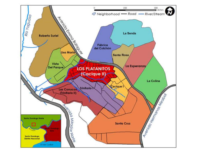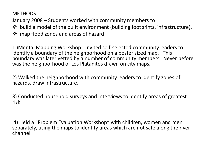**METHODS** 

January 2008 – Students worked with community members to :

- build a model of the built environment (building footprints, infrastructure),
- ❖ map flood zones and areas of hazard

1 )Mental Mapping Workshop - Invited self-selected community leaders to identify a boundary of the neighborhood on a poster sized map. This boundary was later vetted by a number of community members. Never before was the neighborhood of Los Platanitos drawn on city maps.

2) Walked the neighborhood with community leaders to identify zones of hazards, draw infrastructure.

3) Conducted household surveys and interviews to identify areas of greatest risk.

4) Held a "Problem Evaluation Workshop" with children, women and men separately, using the maps to identify areas which are not safe along the river channel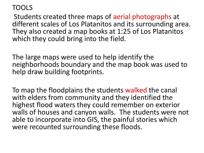#### TOOLS

Students created three maps of aerial photographs at different scales of Los Platanitos and its surrounding area. They also created a map books at 1:25 of Los Platanitos which they could bring into the field.

The large maps were used to help identify the neighborhoods boundary and the map book was used to help draw building footprints.

To map the floodplains the students walked the canal with elders from community and they identified the highest flood waters they could remember on exterior walls of houses and canyon walls. The students were not able to incorporate into GIS, the painful stories which were recounted surrounding these floods.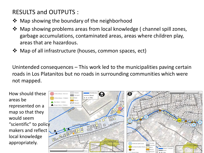#### RESULTS and OUTPUTS :

- **❖** Map showing the boundary of the neighborhood
- $\triangleq$  Map showing problems areas from local knowledge (channel spill zones, garbage accumulations, contaminated areas, areas where children play, areas that are hazardous.
- Map of all infrastructure (houses, common spaces, ect)

Unintended consequences – This work led to the municipalities paving certain roads in Los Platanitos but no roads in surrounding communities which were not mapped.

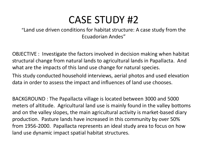#### CASE STUDY #2

#### "Land use driven conditions for habitat structure: A case study from the Ecuadorian Andes"

OBJECTIVE : Investigate the factors involved in decision making when habitat structural change from natural lands to agricultural lands in Papallacta. And what are the impacts of this land use change for natural species.

This study conducted household interviews, aerial photos and used elevation data in order to assess the impact and influences of land use chooses.

BACKGROUND : The Papallacta village is located between 3000 and 5000 meters of altitude. Agricultural land use is mainly found in the valley bottoms and on the valley slopes, the main agricultural activity is market-based diary production. Pasture lands have increased in this community by over 50% from 1956-2000. Papallacta represents an ideal study area to focus on how land use dynamic impact spatial habitat structures.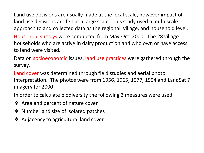Land use decisions are usually made at the local scale, however impact of land use decisions are felt at a large scale. This study used a multi scale approach to and collected data as the regional, village, and household level.

Household surveys were conducted from May-Oct. 2000. The 28 village households who are active in dairy production and who own or have access to land were visited.

Data on socioeconomic issues, land use practices were gathered through the survey.

Land cover was determined through field studies and aerial photo interpretation. The photos were from 1956, 1965, 1977, 1994 and LandSat 7 imagery for 2000.

In order to calculate biodiversity the following 3 measures were used:

- ❖ Area and percent of nature cover
- ❖ Number and size of isolated patches
- **❖** Adjacency to agricultural land cover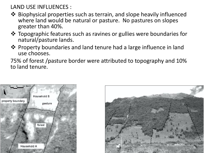LAND USE INFLUENCES :

- $\triangle$  Biophysical properties such as terrain, and slope heavily influenced where land would be natural or pasture. No pastures on slopes greater than 40%.
- Topographic features such as ravines or gullies were boundaries for natural/pasture lands.
- Property boundaries and land tenure had a large influence in land use chooses.

75% of forest /pasture border were attributed to topography and 10% to land tenure.



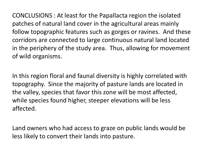CONCLUSIONS : At least for the Papallacta region the isolated patches of natural land cover in the agricultural areas mainly follow topographic features such as gorges or ravines. And these corridors are connected to large continuous natural land located in the periphery of the study area. Thus, allowing for movement of wild organisms.

In this region floral and faunal diversity is highly correlated with topography. Since the majority of pasture lands are located in the valley, species that favor this zone will be most affected, while species found higher, steeper elevations will be less affected.

Land owners who had access to graze on public lands would be less likely to convert their lands into pasture.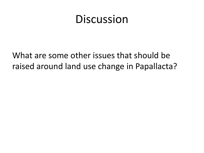### **Discussion**

What are some other issues that should be raised around land use change in Papallacta?